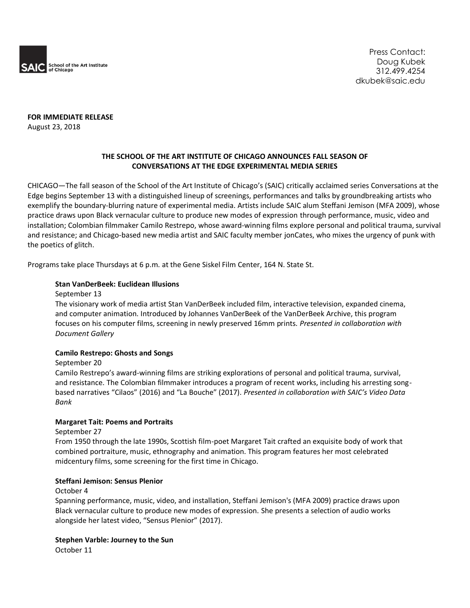

**FOR IMMEDIATE RELEASE** August 23, 2018

# **THE SCHOOL OF THE ART INSTITUTE OF CHICAGO ANNOUNCES FALL SEASON OF CONVERSATIONS AT THE EDGE EXPERIMENTAL MEDIA SERIES**

CHICAGO—The fall season of the School of the Art Institute of Chicago's (SAIC) critically acclaimed series Conversations at the Edge begins September 13 with a distinguished lineup of screenings, performances and talks by groundbreaking artists who exemplify the boundary-blurring nature of experimental media. Artists include SAIC alum Steffani Jemison (MFA 2009), whose practice draws upon Black vernacular culture to produce new modes of expression through performance, music, video and installation; Colombian filmmaker Camilo Restrepo, whose award-winning films explore personal and political trauma, survival and resistance; and Chicago-based new media artist and SAIC faculty member jonCates, who mixes the urgency of punk with the poetics of glitch.

Programs take place Thursdays at 6 p.m. at the Gene Siskel Film Center, 164 N. State St.

#### **Stan VanDerBeek: Euclidean Illusions**

#### September 13

The visionary work of media artist Stan VanDerBeek included film, interactive television, expanded cinema, and computer animation. Introduced by Johannes VanDerBeek of the VanDerBeek Archive, this program focuses on his computer films, screening in newly preserved 16mm prints. *Presented in collaboration with Document Gallery*

#### **Camilo Restrepo: Ghosts and Songs**

September 20

Camilo Restrepo's award-winning films are striking explorations of personal and political trauma, survival, and resistance. The Colombian filmmaker introduces a program of recent works, including his arresting songbased narratives "Cilaos" (2016) and "La Bouche" (2017). *Presented in collaboration with SAIC's Video Data Bank*

# **Margaret Tait: Poems and Portraits**

#### September 27

From 1950 through the late 1990s, Scottish film-poet Margaret Tait crafted an exquisite body of work that combined portraiture, music, ethnography and animation. This program features her most celebrated midcentury films, some screening for the first time in Chicago.

#### **Steffani Jemison: Sensus Plenior**

#### October 4

Spanning performance, music, video, and installation, Steffani Jemison's (MFA 2009) practice draws upon Black vernacular culture to produce new modes of expression. She presents a selection of audio works alongside her latest video, "Sensus Plenior" (2017).

#### **Stephen Varble: Journey to the Sun**

October 11